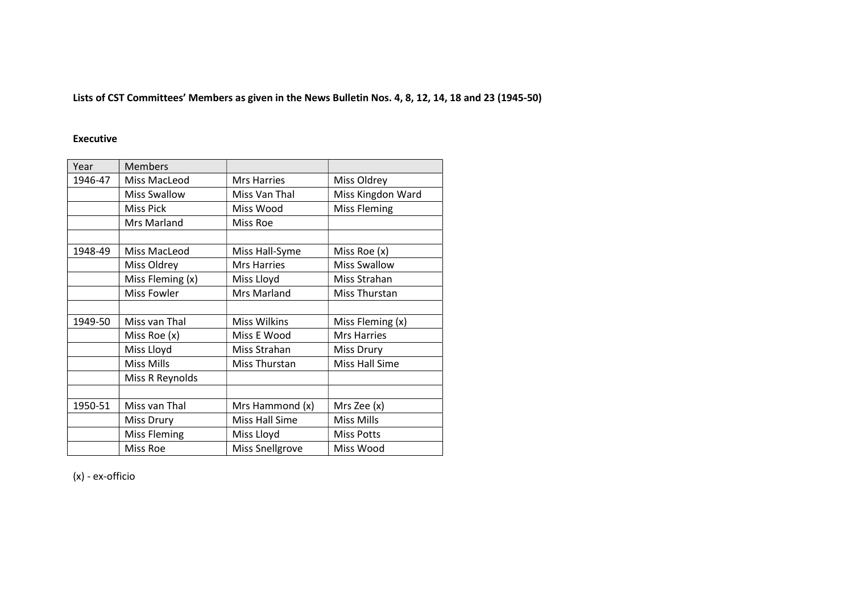Lists of CST Committees' Members as given in the News Bulletin Nos. 4, 8, 12, 14, 18 and 23 (1945-50)

### Executive

| Year    | <b>Members</b>      |                        |                       |
|---------|---------------------|------------------------|-----------------------|
| 1946-47 | Miss MacLeod        | <b>Mrs Harries</b>     | Miss Oldrey           |
|         | <b>Miss Swallow</b> | Miss Van Thal          | Miss Kingdon Ward     |
|         | <b>Miss Pick</b>    | Miss Wood              | <b>Miss Fleming</b>   |
|         | Mrs Marland         | Miss Roe               |                       |
|         |                     |                        |                       |
| 1948-49 | Miss MacLeod        | Miss Hall-Syme         | Miss Roe (x)          |
|         | Miss Oldrey         | <b>Mrs Harries</b>     | <b>Miss Swallow</b>   |
|         | Miss Fleming (x)    | Miss Lloyd             | Miss Strahan          |
|         | Miss Fowler         | Mrs Marland            | Miss Thurstan         |
|         |                     |                        |                       |
| 1949-50 | Miss van Thal       | <b>Miss Wilkins</b>    | Miss Fleming (x)      |
|         | Miss Roe $(x)$      | Miss E Wood            | <b>Mrs Harries</b>    |
|         | Miss Lloyd          | Miss Strahan           | <b>Miss Drury</b>     |
|         | <b>Miss Mills</b>   | Miss Thurstan          | <b>Miss Hall Sime</b> |
|         | Miss R Reynolds     |                        |                       |
|         |                     |                        |                       |
| 1950-51 | Miss van Thal       | Mrs Hammond (x)        | Mrs Zee (x)           |
|         | Miss Drury          | Miss Hall Sime         | <b>Miss Mills</b>     |
|         | <b>Miss Fleming</b> | Miss Lloyd             | <b>Miss Potts</b>     |
|         | Miss Roe            | <b>Miss Snellgrove</b> | Miss Wood             |

(x) - ex-officio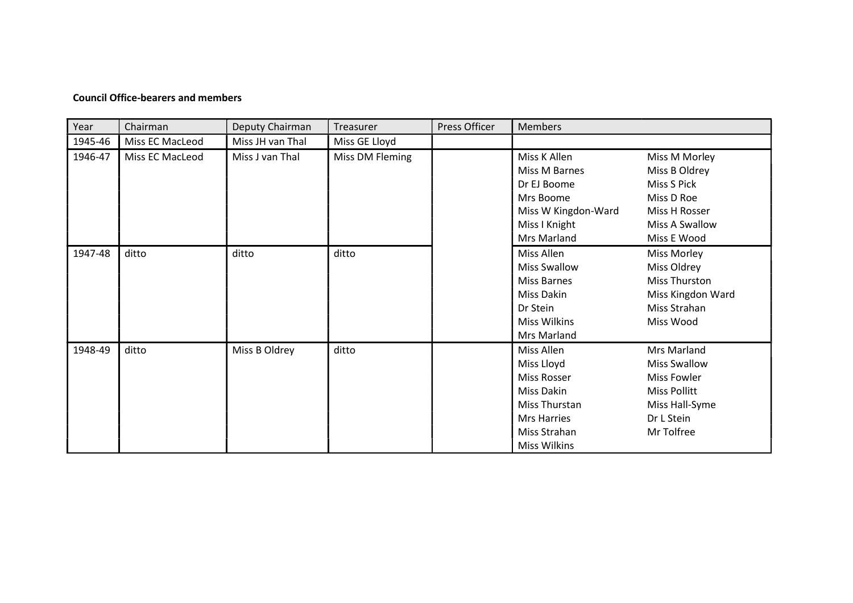#### Council Office-bearers and members

| Year    | Chairman        | Deputy Chairman  | Treasurer       | Press Officer | <b>Members</b>      |                     |
|---------|-----------------|------------------|-----------------|---------------|---------------------|---------------------|
| 1945-46 | Miss EC MacLeod | Miss JH van Thal | Miss GE Lloyd   |               |                     |                     |
| 1946-47 | Miss EC MacLeod | Miss J van Thal  | Miss DM Fleming |               | Miss K Allen        | Miss M Morley       |
|         |                 |                  |                 |               | Miss M Barnes       | Miss B Oldrey       |
|         |                 |                  |                 |               | Dr EJ Boome         | Miss S Pick         |
|         |                 |                  |                 |               | Mrs Boome           | Miss D Roe          |
|         |                 |                  |                 |               | Miss W Kingdon-Ward | Miss H Rosser       |
|         |                 |                  |                 |               | Miss I Knight       | Miss A Swallow      |
|         |                 |                  |                 |               | Mrs Marland         | Miss E Wood         |
| 1947-48 | ditto           | ditto            | ditto           |               | Miss Allen          | Miss Morley         |
|         |                 |                  |                 |               | <b>Miss Swallow</b> | Miss Oldrey         |
|         |                 |                  |                 |               | Miss Barnes         | Miss Thurston       |
|         |                 |                  |                 |               | Miss Dakin          | Miss Kingdon Ward   |
|         |                 |                  |                 |               | Dr Stein            | Miss Strahan        |
|         |                 |                  |                 |               | <b>Miss Wilkins</b> | Miss Wood           |
|         |                 |                  |                 |               | Mrs Marland         |                     |
| 1948-49 | ditto           | Miss B Oldrey    | ditto           |               | Miss Allen          | Mrs Marland         |
|         |                 |                  |                 |               | Miss Lloyd          | <b>Miss Swallow</b> |
|         |                 |                  |                 |               | Miss Rosser         | <b>Miss Fowler</b>  |
|         |                 |                  |                 |               | Miss Dakin          | <b>Miss Pollitt</b> |
|         |                 |                  |                 |               | Miss Thurstan       | Miss Hall-Syme      |
|         |                 |                  |                 |               | <b>Mrs Harries</b>  | Dr L Stein          |
|         |                 |                  |                 |               | Miss Strahan        | Mr Tolfree          |
|         |                 |                  |                 |               | <b>Miss Wilkins</b> |                     |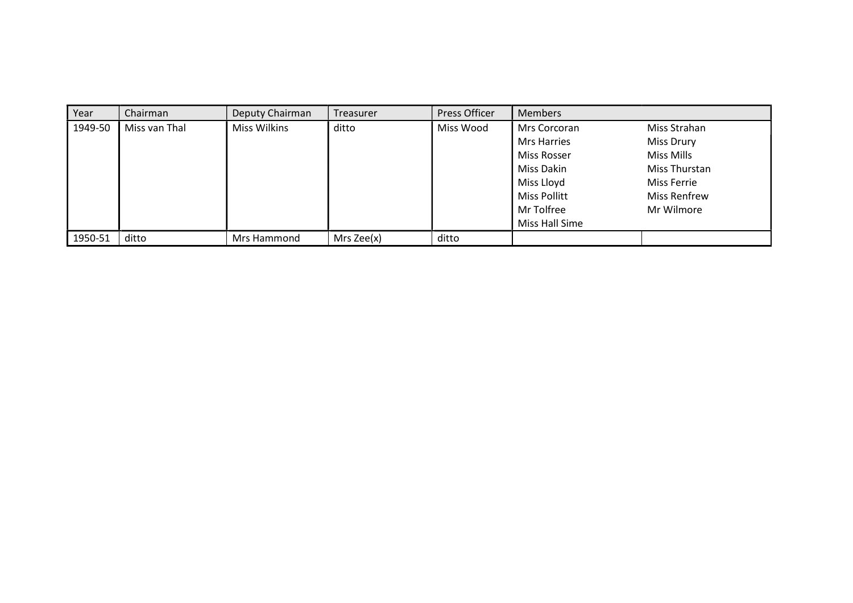| Year    | Chairman      | Deputy Chairman     | Treasurer    | Press Officer | <b>Members</b>                                                                                                                |                                                                                                                      |
|---------|---------------|---------------------|--------------|---------------|-------------------------------------------------------------------------------------------------------------------------------|----------------------------------------------------------------------------------------------------------------------|
| 1949-50 | Miss van Thal | <b>Miss Wilkins</b> | ditto        | Miss Wood     | Mrs Corcoran<br><b>Mrs Harries</b><br>Miss Rosser<br>Miss Dakin<br>Miss Lloyd<br>Miss Pollitt<br>Mr Tolfree<br>Miss Hall Sime | Miss Strahan<br><b>Miss Drury</b><br>Miss Mills<br>Miss Thurstan<br>Miss Ferrie<br><b>Miss Renfrew</b><br>Mr Wilmore |
| 1950-51 | ditto         | Mrs Hammond         | Mrs $Zee(x)$ | ditto         |                                                                                                                               |                                                                                                                      |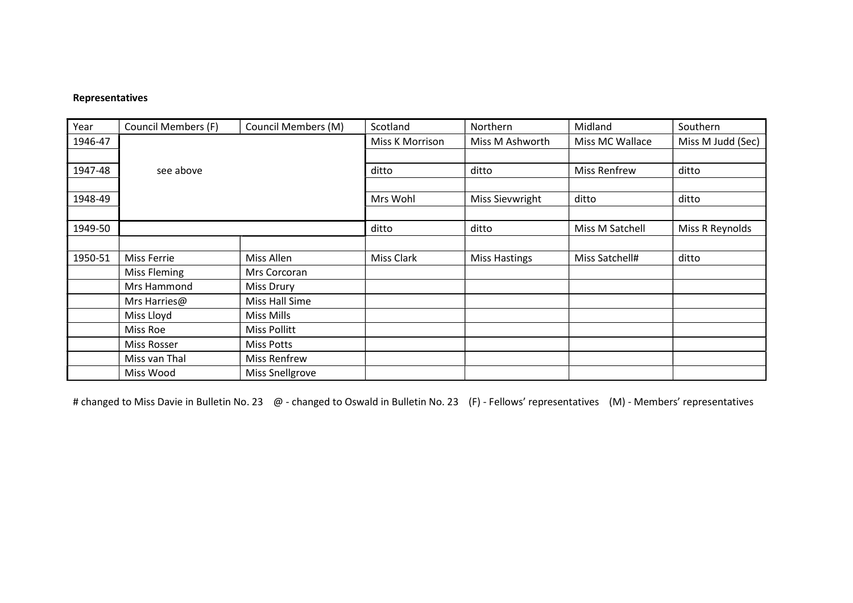## Representatives

| Year    | <b>Council Members (F)</b> | <b>Council Members (M)</b> | Scotland          | Northern             | Midland             | Southern          |
|---------|----------------------------|----------------------------|-------------------|----------------------|---------------------|-------------------|
| 1946-47 |                            |                            | Miss K Morrison   | Miss M Ashworth      | Miss MC Wallace     | Miss M Judd (Sec) |
|         |                            |                            |                   |                      |                     |                   |
| 1947-48 | see above                  |                            | ditto             | ditto                | <b>Miss Renfrew</b> | ditto             |
|         |                            |                            |                   |                      |                     |                   |
| 1948-49 |                            |                            | Mrs Wohl          | Miss Sievwright      | ditto               | ditto             |
|         |                            |                            |                   |                      |                     |                   |
| 1949-50 |                            |                            | ditto             | ditto                | Miss M Satchell     | Miss R Reynolds   |
|         |                            |                            |                   |                      |                     |                   |
| 1950-51 | <b>Miss Ferrie</b>         | Miss Allen                 | <b>Miss Clark</b> | <b>Miss Hastings</b> | Miss Satchell#      | ditto             |
|         | Miss Fleming               | Mrs Corcoran               |                   |                      |                     |                   |
|         | Mrs Hammond                | <b>Miss Drury</b>          |                   |                      |                     |                   |
|         | Mrs Harries@               | Miss Hall Sime             |                   |                      |                     |                   |
|         | Miss Lloyd                 | Miss Mills                 |                   |                      |                     |                   |
|         | Miss Roe                   | <b>Miss Pollitt</b>        |                   |                      |                     |                   |
|         | Miss Rosser                | <b>Miss Potts</b>          |                   |                      |                     |                   |
|         | Miss van Thal              | <b>Miss Renfrew</b>        |                   |                      |                     |                   |
|         | Miss Wood                  | <b>Miss Snellgrove</b>     |                   |                      |                     |                   |

# changed to Miss Davie in Bulletin No. 23 @ - changed to Oswald in Bulletin No. 23 (F) - Fellows' representatives (M) - Members' representatives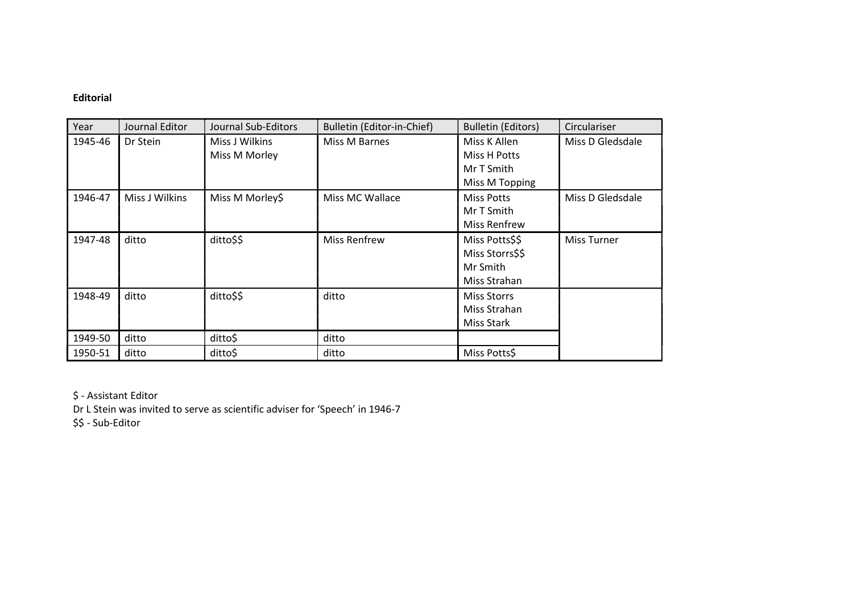# Editorial

| Year    | Journal Editor | Journal Sub-Editors             | Bulletin (Editor-in-Chief) | <b>Bulletin (Editors)</b>                                     | Circulariser     |
|---------|----------------|---------------------------------|----------------------------|---------------------------------------------------------------|------------------|
| 1945-46 | Dr Stein       | Miss J Wilkins<br>Miss M Morley | Miss M Barnes              | Miss K Allen<br>Miss H Potts<br>Mr T Smith<br>Miss M Topping  | Miss D Gledsdale |
| 1946-47 | Miss J Wilkins | Miss M Morley\$                 | Miss MC Wallace            | <b>Miss Potts</b><br>Mr T Smith<br>Miss Renfrew               | Miss D Gledsdale |
| 1947-48 | ditto          | ditto\$\$                       | <b>Miss Renfrew</b>        | Miss Potts\$\$<br>Miss Storrs\$\$<br>Mr Smith<br>Miss Strahan | Miss Turner      |
| 1948-49 | ditto          | ditto\$\$                       | ditto                      | <b>Miss Storrs</b><br>Miss Strahan<br>Miss Stark              |                  |
| 1949-50 | ditto          | ditto\$                         | ditto                      |                                                               |                  |
| 1950-51 | ditto          | ditto\$                         | ditto                      | Miss Potts\$                                                  |                  |

\$ - Assistant Editor

Dr L Stein was invited to serve as scientific adviser for 'Speech' in 1946-7

\$\$ - Sub-Editor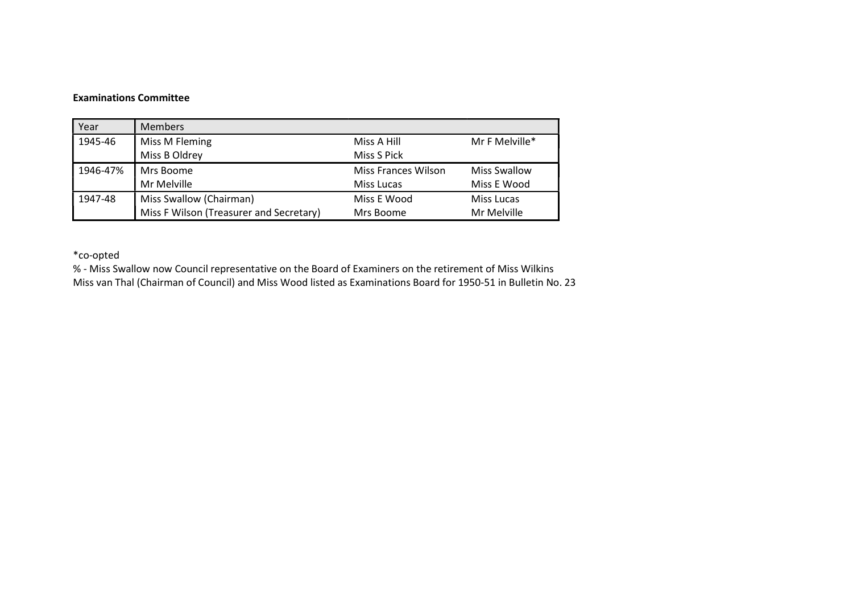#### Examinations Committee

| Year     | <b>Members</b>                          |                            |                     |
|----------|-----------------------------------------|----------------------------|---------------------|
| 1945-46  | Miss M Fleming                          | Miss A Hill                | Mr F Melville*      |
|          | Miss B Oldrey                           | Miss S Pick                |                     |
| 1946-47% | Mrs Boome                               | <b>Miss Frances Wilson</b> | <b>Miss Swallow</b> |
|          | Mr Melville                             | Miss Lucas                 | Miss E Wood         |
| 1947-48  | Miss Swallow (Chairman)                 | Miss E Wood                | Miss Lucas          |
|          | Miss F Wilson (Treasurer and Secretary) | Mrs Boome                  | Mr Melville         |

\*co-opted

% - Miss Swallow now Council representative on the Board of Examiners on the retirement of Miss Wilkins Miss van Thal (Chairman of Council) and Miss Wood listed as Examinations Board for 1950-51 in Bulletin No. 23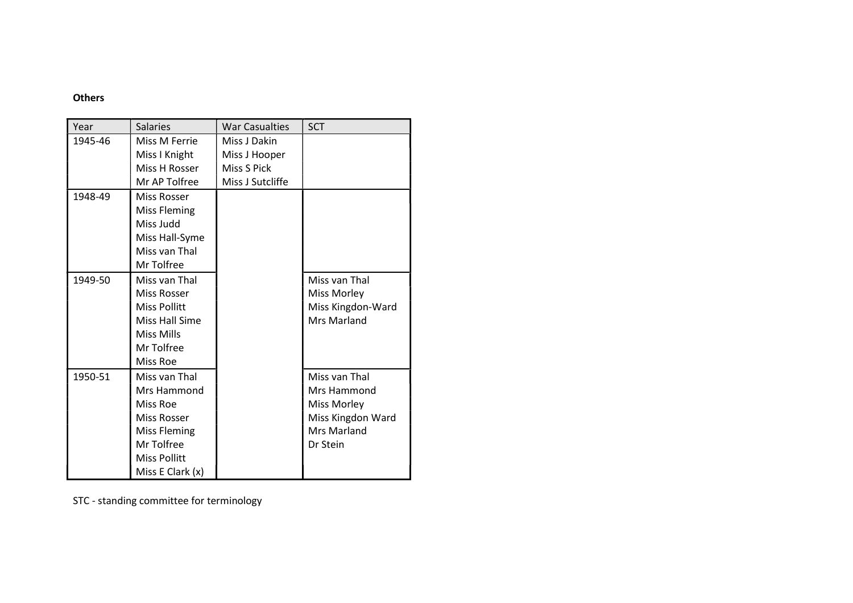# **Others**

| Year    | <b>Salaries</b>       | <b>War Casualties</b> | <b>SCT</b>         |
|---------|-----------------------|-----------------------|--------------------|
| 1945-46 | Miss M Ferrie         | Miss J Dakin          |                    |
|         | Miss I Knight         | Miss J Hooper         |                    |
|         | Miss H Rosser         | Miss S Pick           |                    |
|         | Mr AP Tolfree         | Miss J Sutcliffe      |                    |
| 1948-49 | Miss Rosser           |                       |                    |
|         | <b>Miss Fleming</b>   |                       |                    |
|         | Miss Judd             |                       |                    |
|         | Miss Hall-Syme        |                       |                    |
|         | Miss van Thal         |                       |                    |
|         | Mr Tolfree            |                       |                    |
| 1949-50 | Miss van Thal         |                       | Miss van Thal      |
|         | Miss Rosser           |                       | Miss Morley        |
|         | <b>Miss Pollitt</b>   |                       | Miss Kingdon-Ward  |
|         | <b>Miss Hall Sime</b> |                       | <b>Mrs Marland</b> |
|         | Miss Mills            |                       |                    |
|         | Mr Tolfree            |                       |                    |
|         | Miss Roe              |                       |                    |
| 1950-51 | Miss van Thal         |                       | Miss van Thal      |
|         | Mrs Hammond           |                       | Mrs Hammond        |
|         | Miss Roe              |                       | Miss Morley        |
|         | <b>Miss Rosser</b>    |                       | Miss Kingdon Ward  |
|         | <b>Miss Fleming</b>   |                       | <b>Mrs Marland</b> |
|         | Mr Tolfree            |                       | Dr Stein           |
|         | <b>Miss Pollitt</b>   |                       |                    |
|         | Miss E Clark (x)      |                       |                    |

STC - standing committee for terminology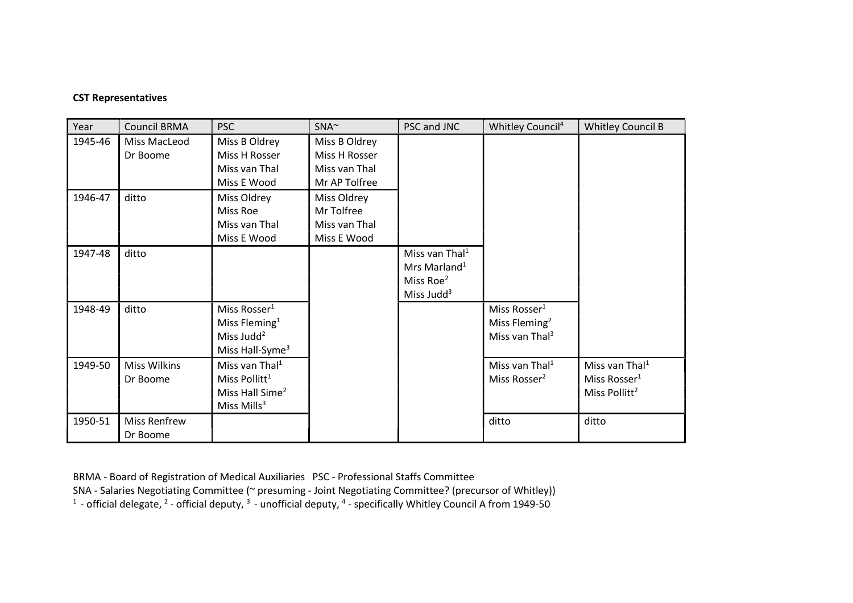### CST Representatives

| Year    | <b>Council BRMA</b>             | <b>PSC</b>                                                                                                     | $SNA^{\sim}$                                                     | PSC and JNC                                                                    | Whitley Council <sup>4</sup>                                                        | <b>Whitley Council B</b>                                                            |
|---------|---------------------------------|----------------------------------------------------------------------------------------------------------------|------------------------------------------------------------------|--------------------------------------------------------------------------------|-------------------------------------------------------------------------------------|-------------------------------------------------------------------------------------|
| 1945-46 | Miss MacLeod<br>Dr Boome        | Miss B Oldrey<br>Miss H Rosser<br>Miss van Thal<br>Miss E Wood                                                 | Miss B Oldrey<br>Miss H Rosser<br>Miss van Thal<br>Mr AP Tolfree |                                                                                |                                                                                     |                                                                                     |
| 1946-47 | ditto                           | Miss Oldrey<br>Miss Roe<br>Miss van Thal<br>Miss E Wood                                                        | Miss Oldrey<br>Mr Tolfree<br>Miss van Thal<br>Miss E Wood        |                                                                                |                                                                                     |                                                                                     |
| 1947-48 | ditto                           |                                                                                                                |                                                                  | Miss van Thal $1$<br>Mrs Marland <sup>1</sup><br>Miss Roe $2$<br>Miss Judd $3$ |                                                                                     |                                                                                     |
| 1948-49 | ditto                           | Miss Rosser <sup>1</sup><br>Miss Fleming <sup>1</sup><br>Miss Judd <sup>2</sup><br>Miss Hall-Syme <sup>3</sup> |                                                                  |                                                                                | Miss Rosser <sup>1</sup><br>Miss Fleming <sup>2</sup><br>Miss van Thal <sup>3</sup> |                                                                                     |
| 1949-50 | <b>Miss Wilkins</b><br>Dr Boome | Miss van Thal <sup>1</sup><br>Miss Pollitt <sup>1</sup><br>Miss Hall Sime <sup>2</sup><br>Miss $Mills3$        |                                                                  |                                                                                | Miss van Thal <sup>1</sup><br>Miss Rosser <sup>2</sup>                              | Miss van Thal <sup>1</sup><br>Miss Rosser <sup>1</sup><br>Miss Pollitt <sup>2</sup> |
| 1950-51 | Miss Renfrew<br>Dr Boome        |                                                                                                                |                                                                  |                                                                                | ditto                                                                               | ditto                                                                               |

BRMA - Board of Registration of Medical Auxiliaries PSC - Professional Staffs Committee

SNA - Salaries Negotiating Committee (~ presuming - Joint Negotiating Committee? (precursor of Whitley))

<sup>1</sup> - official delegate, <sup>2</sup> - official deputy, <sup>3</sup> - unofficial deputy, <sup>4</sup> - specifically Whitley Council A from 1949-50